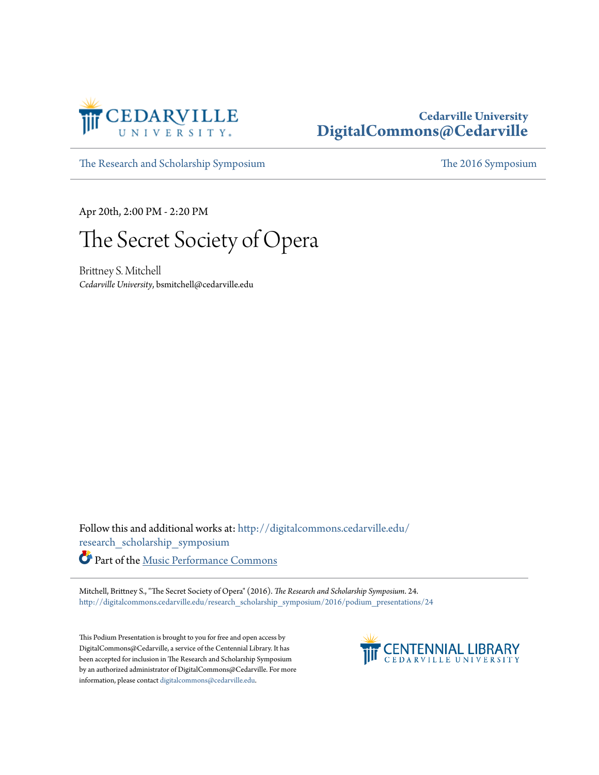

## **Cedarville University [DigitalCommons@Cedarville](http://digitalcommons.cedarville.edu?utm_source=digitalcommons.cedarville.edu%2Fresearch_scholarship_symposium%2F2016%2Fpodium_presentations%2F24&utm_medium=PDF&utm_campaign=PDFCoverPages)**

[The Research and Scholarship Symposium](http://digitalcommons.cedarville.edu/research_scholarship_symposium?utm_source=digitalcommons.cedarville.edu%2Fresearch_scholarship_symposium%2F2016%2Fpodium_presentations%2F24&utm_medium=PDF&utm_campaign=PDFCoverPages) [The 2016 Symposium](http://digitalcommons.cedarville.edu/research_scholarship_symposium/2016?utm_source=digitalcommons.cedarville.edu%2Fresearch_scholarship_symposium%2F2016%2Fpodium_presentations%2F24&utm_medium=PDF&utm_campaign=PDFCoverPages)

Apr 20th, 2:00 PM - 2:20 PM

## The Secret Society of Opera

Brittney S. Mitchell *Cedarville University*, bsmitchell@cedarville.edu

Follow this and additional works at: [http://digitalcommons.cedarville.edu/](http://digitalcommons.cedarville.edu/research_scholarship_symposium?utm_source=digitalcommons.cedarville.edu%2Fresearch_scholarship_symposium%2F2016%2Fpodium_presentations%2F24&utm_medium=PDF&utm_campaign=PDFCoverPages) [research\\_scholarship\\_symposium](http://digitalcommons.cedarville.edu/research_scholarship_symposium?utm_source=digitalcommons.cedarville.edu%2Fresearch_scholarship_symposium%2F2016%2Fpodium_presentations%2F24&utm_medium=PDF&utm_campaign=PDFCoverPages) Part of the [Music Performance Commons](http://network.bepress.com/hgg/discipline/1128?utm_source=digitalcommons.cedarville.edu%2Fresearch_scholarship_symposium%2F2016%2Fpodium_presentations%2F24&utm_medium=PDF&utm_campaign=PDFCoverPages)

Mitchell, Brittney S., "The Secret Society of Opera" (2016). *The Research and Scholarship Symposium*. 24. [http://digitalcommons.cedarville.edu/research\\_scholarship\\_symposium/2016/podium\\_presentations/24](http://digitalcommons.cedarville.edu/research_scholarship_symposium/2016/podium_presentations/24?utm_source=digitalcommons.cedarville.edu%2Fresearch_scholarship_symposium%2F2016%2Fpodium_presentations%2F24&utm_medium=PDF&utm_campaign=PDFCoverPages)

This Podium Presentation is brought to you for free and open access by DigitalCommons@Cedarville, a service of the Centennial Library. It has been accepted for inclusion in The Research and Scholarship Symposium by an authorized administrator of DigitalCommons@Cedarville. For more information, please contact [digitalcommons@cedarville.edu.](mailto:digitalcommons@cedarville.edu)

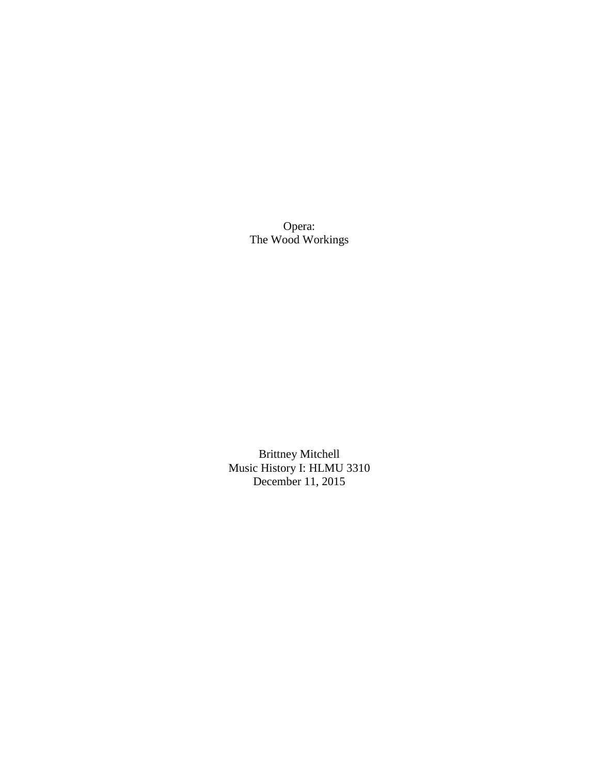Opera: The Wood Workings

Brittney Mitchell Music History I: HLMU 3310 December 11, 2015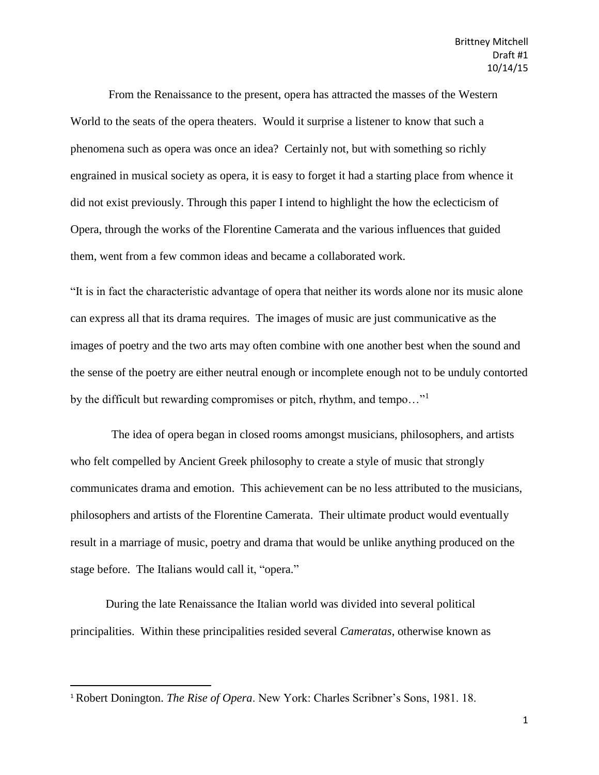From the Renaissance to the present, opera has attracted the masses of the Western World to the seats of the opera theaters. Would it surprise a listener to know that such a phenomena such as opera was once an idea? Certainly not, but with something so richly engrained in musical society as opera, it is easy to forget it had a starting place from whence it did not exist previously. Through this paper I intend to highlight the how the eclecticism of Opera, through the works of the Florentine Camerata and the various influences that guided them, went from a few common ideas and became a collaborated work.

"It is in fact the characteristic advantage of opera that neither its words alone nor its music alone can express all that its drama requires. The images of music are just communicative as the images of poetry and the two arts may often combine with one another best when the sound and the sense of the poetry are either neutral enough or incomplete enough not to be unduly contorted by the difficult but rewarding compromises or pitch, rhythm, and tempo…"<sup>1</sup>

 The idea of opera began in closed rooms amongst musicians, philosophers, and artists who felt compelled by Ancient Greek philosophy to create a style of music that strongly communicates drama and emotion. This achievement can be no less attributed to the musicians, philosophers and artists of the Florentine Camerata. Their ultimate product would eventually result in a marriage of music, poetry and drama that would be unlike anything produced on the stage before. The Italians would call it, "opera."

During the late Renaissance the Italian world was divided into several political principalities. Within these principalities resided several *Cameratas*, otherwise known as

<sup>1</sup> Robert Donington. *The Rise of Opera*. New York: Charles Scribner's Sons, 1981. 18.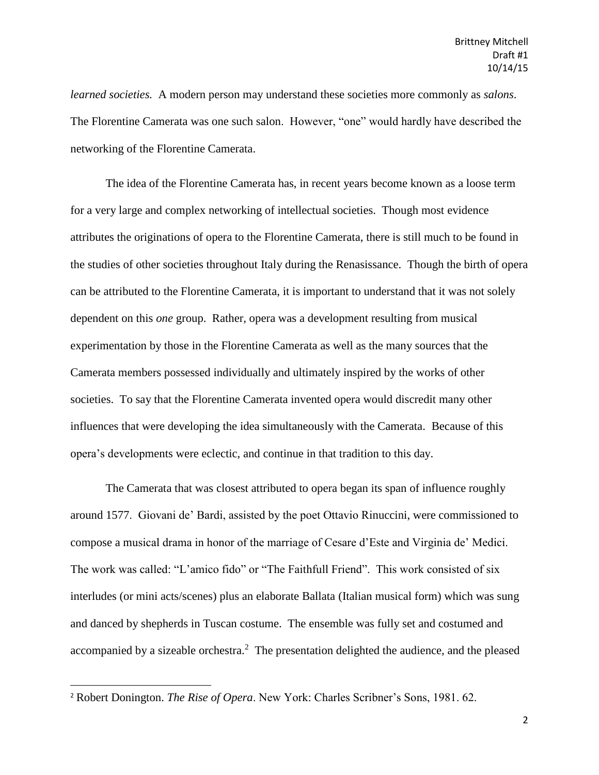*learned societies.* A modern person may understand these societies more commonly as *salons*. The Florentine Camerata was one such salon. However, "one" would hardly have described the networking of the Florentine Camerata.

The idea of the Florentine Camerata has, in recent years become known as a loose term for a very large and complex networking of intellectual societies. Though most evidence attributes the originations of opera to the Florentine Camerata, there is still much to be found in the studies of other societies throughout Italy during the Renasissance. Though the birth of opera can be attributed to the Florentine Camerata, it is important to understand that it was not solely dependent on this *one* group. Rather, opera was a development resulting from musical experimentation by those in the Florentine Camerata as well as the many sources that the Camerata members possessed individually and ultimately inspired by the works of other societies. To say that the Florentine Camerata invented opera would discredit many other influences that were developing the idea simultaneously with the Camerata. Because of this opera's developments were eclectic, and continue in that tradition to this day.

The Camerata that was closest attributed to opera began its span of influence roughly around 1577. Giovani de' Bardi, assisted by the poet Ottavio Rinuccini, were commissioned to compose a musical drama in honor of the marriage of Cesare d'Este and Virginia de' Medici. The work was called: "L'amico fido" or "The Faithfull Friend". This work consisted of six interludes (or mini acts/scenes) plus an elaborate Ballata (Italian musical form) which was sung and danced by shepherds in Tuscan costume. The ensemble was fully set and costumed and accompanied by a sizeable orchestra.<sup>2</sup> The presentation delighted the audience, and the pleased

 $\overline{\phantom{a}}$ 

<sup>2</sup> Robert Donington. *The Rise of Opera*. New York: Charles Scribner's Sons, 1981. 62.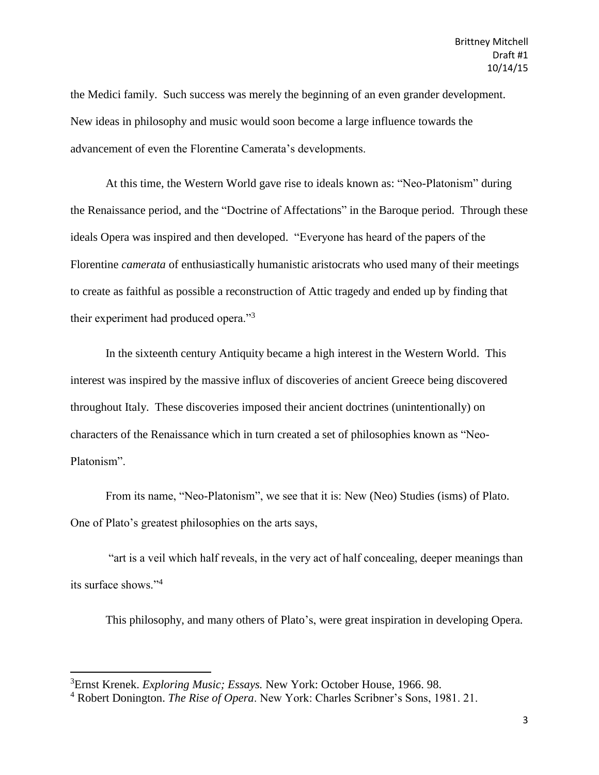the Medici family. Such success was merely the beginning of an even grander development. New ideas in philosophy and music would soon become a large influence towards the advancement of even the Florentine Camerata's developments.

At this time, the Western World gave rise to ideals known as: "Neo-Platonism" during the Renaissance period, and the "Doctrine of Affectations" in the Baroque period. Through these ideals Opera was inspired and then developed. "Everyone has heard of the papers of the Florentine *camerata* of enthusiastically humanistic aristocrats who used many of their meetings to create as faithful as possible a reconstruction of Attic tragedy and ended up by finding that their experiment had produced opera."<sup>3</sup>

In the sixteenth century Antiquity became a high interest in the Western World. This interest was inspired by the massive influx of discoveries of ancient Greece being discovered throughout Italy. These discoveries imposed their ancient doctrines (unintentionally) on characters of the Renaissance which in turn created a set of philosophies known as "Neo-Platonism".

From its name, "Neo-Platonism", we see that it is: New (Neo) Studies (isms) of Plato. One of Plato's greatest philosophies on the arts says,

"art is a veil which half reveals, in the very act of half concealing, deeper meanings than its surface shows."<sup>4</sup>

This philosophy, and many others of Plato's, were great inspiration in developing Opera.

 $\overline{\phantom{a}}$ 

<sup>3</sup>Ernst Krenek. *Exploring Music; Essays.* New York: October House, 1966. 98.

<sup>4</sup> Robert Donington. *The Rise of Opera*. New York: Charles Scribner's Sons, 1981. 21.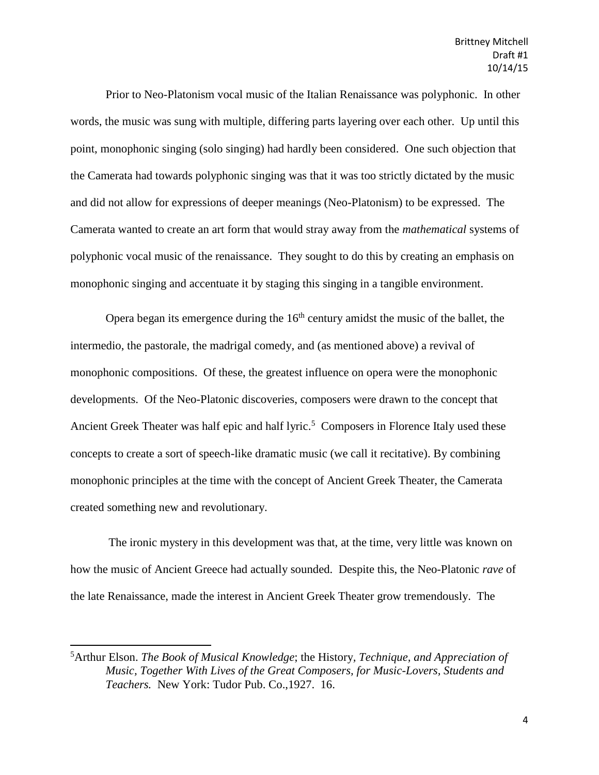Prior to Neo-Platonism vocal music of the Italian Renaissance was polyphonic. In other words, the music was sung with multiple, differing parts layering over each other. Up until this point, monophonic singing (solo singing) had hardly been considered. One such objection that the Camerata had towards polyphonic singing was that it was too strictly dictated by the music and did not allow for expressions of deeper meanings (Neo-Platonism) to be expressed. The Camerata wanted to create an art form that would stray away from the *mathematical* systems of polyphonic vocal music of the renaissance. They sought to do this by creating an emphasis on monophonic singing and accentuate it by staging this singing in a tangible environment.

Opera began its emergence during the  $16<sup>th</sup>$  century amidst the music of the ballet, the intermedio, the pastorale, the madrigal comedy, and (as mentioned above) a revival of monophonic compositions. Of these, the greatest influence on opera were the monophonic developments. Of the Neo-Platonic discoveries, composers were drawn to the concept that Ancient Greek Theater was half epic and half lyric.<sup>5</sup> Composers in Florence Italy used these concepts to create a sort of speech-like dramatic music (we call it recitative). By combining monophonic principles at the time with the concept of Ancient Greek Theater, the Camerata created something new and revolutionary.

The ironic mystery in this development was that, at the time, very little was known on how the music of Ancient Greece had actually sounded. Despite this, the Neo-Platonic *rave* of the late Renaissance, made the interest in Ancient Greek Theater grow tremendously. The

<sup>5</sup>Arthur Elson. *The Book of Musical Knowledge*; the History*, Technique, and Appreciation of Music, Together With Lives of the Great Composers, for Music-Lovers, Students and Teachers.* New York: Tudor Pub. Co.,1927. 16.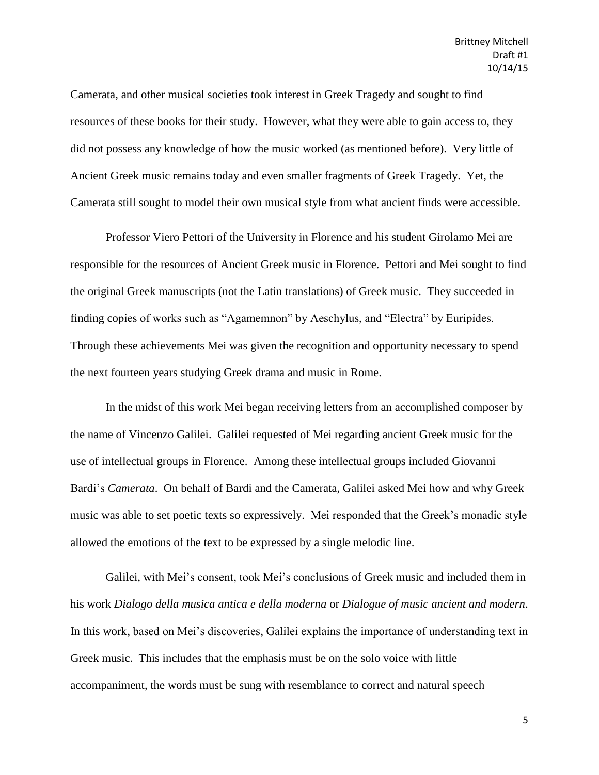Camerata, and other musical societies took interest in Greek Tragedy and sought to find resources of these books for their study. However, what they were able to gain access to, they did not possess any knowledge of how the music worked (as mentioned before). Very little of Ancient Greek music remains today and even smaller fragments of Greek Tragedy. Yet, the Camerata still sought to model their own musical style from what ancient finds were accessible.

Professor Viero Pettori of the University in Florence and his student Girolamo Mei are responsible for the resources of Ancient Greek music in Florence. Pettori and Mei sought to find the original Greek manuscripts (not the Latin translations) of Greek music. They succeeded in finding copies of works such as "Agamemnon" by Aeschylus, and "Electra" by Euripides. Through these achievements Mei was given the recognition and opportunity necessary to spend the next fourteen years studying Greek drama and music in Rome.

In the midst of this work Mei began receiving letters from an accomplished composer by the name of Vincenzo Galilei. Galilei requested of Mei regarding ancient Greek music for the use of intellectual groups in Florence. Among these intellectual groups included Giovanni Bardi's *Camerata*. On behalf of Bardi and the Camerata, Galilei asked Mei how and why Greek music was able to set poetic texts so expressively. Mei responded that the Greek's monadic style allowed the emotions of the text to be expressed by a single melodic line.

Galilei, with Mei's consent, took Mei's conclusions of Greek music and included them in his work *Dialogo della musica antica e della moderna* or *Dialogue of music ancient and modern*. In this work, based on Mei's discoveries, Galilei explains the importance of understanding text in Greek music. This includes that the emphasis must be on the solo voice with little accompaniment, the words must be sung with resemblance to correct and natural speech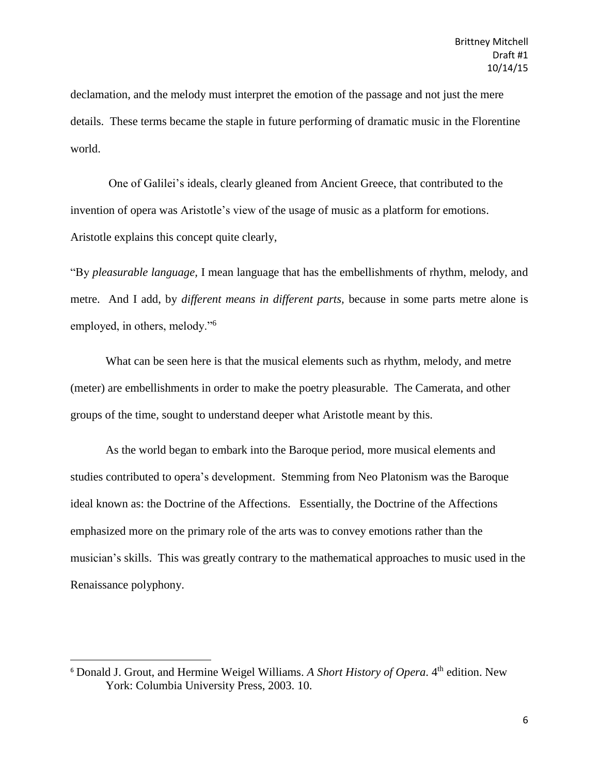declamation, and the melody must interpret the emotion of the passage and not just the mere details. These terms became the staple in future performing of dramatic music in the Florentine world.

One of Galilei's ideals, clearly gleaned from Ancient Greece, that contributed to the invention of opera was Aristotle's view of the usage of music as a platform for emotions. Aristotle explains this concept quite clearly,

"By *pleasurable language,* I mean language that has the embellishments of rhythm, melody, and metre. And I add, by *different means in different parts,* because in some parts metre alone is employed, in others, melody."<sup>6</sup>

What can be seen here is that the musical elements such as rhythm, melody, and metre (meter) are embellishments in order to make the poetry pleasurable. The Camerata, and other groups of the time, sought to understand deeper what Aristotle meant by this.

As the world began to embark into the Baroque period, more musical elements and studies contributed to opera's development. Stemming from Neo Platonism was the Baroque ideal known as: the Doctrine of the Affections. Essentially, the Doctrine of the Affections emphasized more on the primary role of the arts was to convey emotions rather than the musician's skills. This was greatly contrary to the mathematical approaches to music used in the Renaissance polyphony.

<sup>&</sup>lt;sup>6</sup> Donald J. Grout, and Hermine Weigel Williams. A Short History of Opera. 4<sup>th</sup> edition. New York: Columbia University Press, 2003. 10.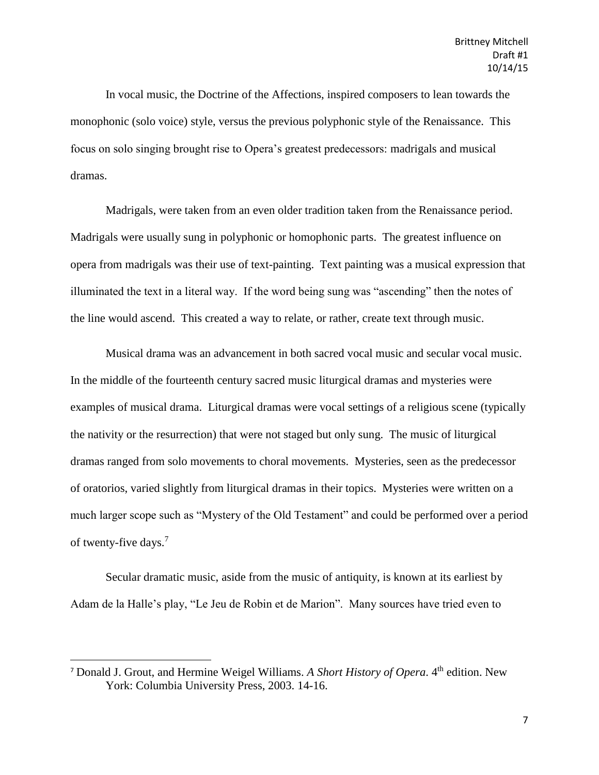In vocal music, the Doctrine of the Affections, inspired composers to lean towards the monophonic (solo voice) style, versus the previous polyphonic style of the Renaissance. This focus on solo singing brought rise to Opera's greatest predecessors: madrigals and musical dramas.

Madrigals, were taken from an even older tradition taken from the Renaissance period. Madrigals were usually sung in polyphonic or homophonic parts. The greatest influence on opera from madrigals was their use of text-painting. Text painting was a musical expression that illuminated the text in a literal way. If the word being sung was "ascending" then the notes of the line would ascend. This created a way to relate, or rather, create text through music.

Musical drama was an advancement in both sacred vocal music and secular vocal music. In the middle of the fourteenth century sacred music liturgical dramas and mysteries were examples of musical drama. Liturgical dramas were vocal settings of a religious scene (typically the nativity or the resurrection) that were not staged but only sung. The music of liturgical dramas ranged from solo movements to choral movements. Mysteries, seen as the predecessor of oratorios, varied slightly from liturgical dramas in their topics. Mysteries were written on a much larger scope such as "Mystery of the Old Testament" and could be performed over a period of twenty-five days.<sup>7</sup>

Secular dramatic music, aside from the music of antiquity, is known at its earliest by Adam de la Halle's play, "Le Jeu de Robin et de Marion". Many sources have tried even to

<sup>&</sup>lt;sup>7</sup> Donald J. Grout, and Hermine Weigel Williams. A Short History of Opera. 4<sup>th</sup> edition. New York: Columbia University Press, 2003. 14-16.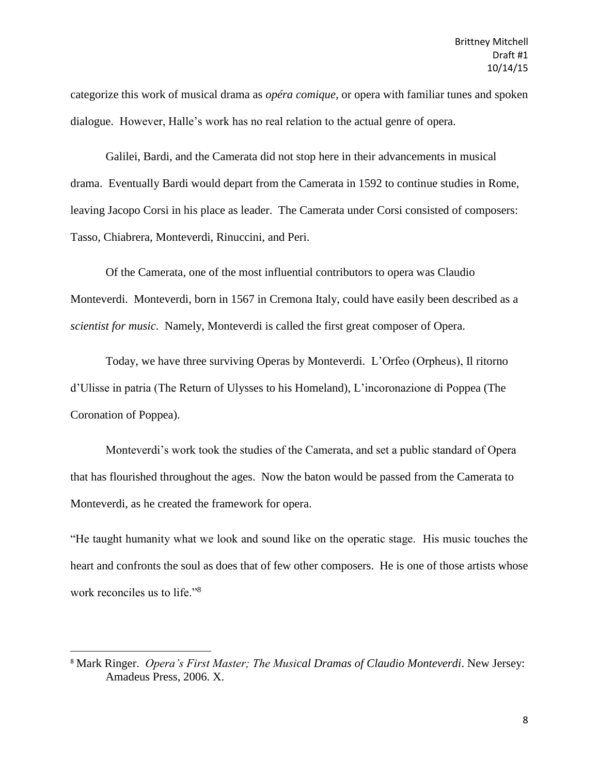categorize this work of musical drama as *opéra comique,* or opera with familiar tunes and spoken dialogue. However, Halle's work has no real relation to the actual genre of opera.

Galilei, Bardi, and the Camerata did not stop here in their advancements in musical drama. Eventually Bardi would depart from the Camerata in 1592 to continue studies in Rome, leaving Jacopo Corsi in his place as leader. The Camerata under Corsi consisted of composers: Tasso, Chiabrera, Monteverdi, Rinuccini, and Peri.

Of the Camerata, one of the most influential contributors to opera was Claudio Monteverdi. Monteverdi, born in 1567 in Cremona Italy, could have easily been described as a *scientist for music*. Namely, Monteverdi is called the first great composer of Opera.

Today, we have three surviving Operas by Monteverdi. L'Orfeo (Orpheus), Il ritorno d'Ulisse in patria (The Return of Ulysses to his Homeland), L'incoronazione di Poppea (The Coronation of Poppea).

Monteverdi's work took the studies of the Camerata, and set a public standard of Opera that has flourished throughout the ages. Now the baton would be passed from the Camerata to Monteverdi, as he created the framework for opera.

"He taught humanity what we look and sound like on the operatic stage. His music touches the heart and confronts the soul as does that of few other composers. He is one of those artists whose work reconciles us to life."<sup>8</sup>

<sup>8</sup> Mark Ringer. *Opera's First Master; The Musical Dramas of Claudio Monteverdi*. New Jersey: Amadeus Press, 2006. X.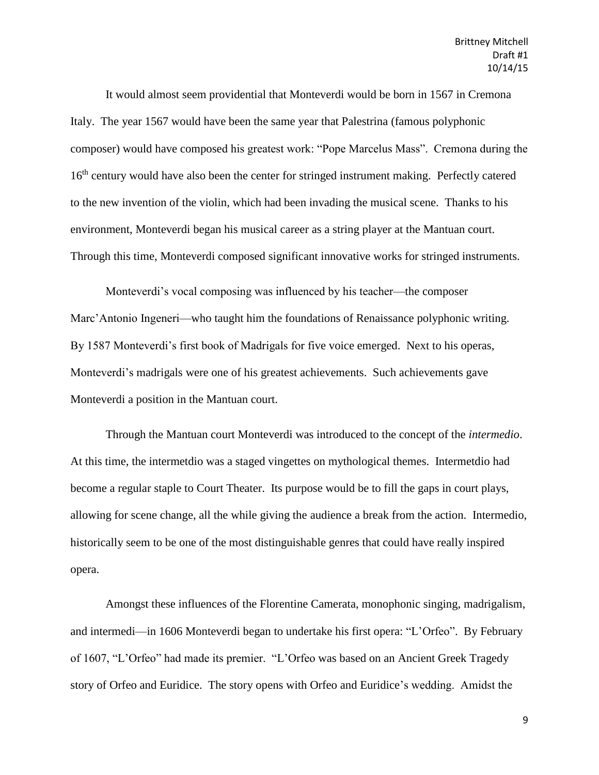It would almost seem providential that Monteverdi would be born in 1567 in Cremona Italy. The year 1567 would have been the same year that Palestrina (famous polyphonic composer) would have composed his greatest work: "Pope Marcelus Mass". Cremona during the 16<sup>th</sup> century would have also been the center for stringed instrument making. Perfectly catered to the new invention of the violin, which had been invading the musical scene. Thanks to his environment, Monteverdi began his musical career as a string player at the Mantuan court. Through this time, Monteverdi composed significant innovative works for stringed instruments.

Monteverdi's vocal composing was influenced by his teacher—the composer Marc'Antonio Ingeneri—who taught him the foundations of Renaissance polyphonic writing. By 1587 Monteverdi's first book of Madrigals for five voice emerged. Next to his operas, Monteverdi's madrigals were one of his greatest achievements. Such achievements gave Monteverdi a position in the Mantuan court.

Through the Mantuan court Monteverdi was introduced to the concept of the *intermedio*. At this time, the intermetdio was a staged vingettes on mythological themes. Intermetdio had become a regular staple to Court Theater. Its purpose would be to fill the gaps in court plays, allowing for scene change, all the while giving the audience a break from the action. Intermedio, historically seem to be one of the most distinguishable genres that could have really inspired opera.

Amongst these influences of the Florentine Camerata, monophonic singing, madrigalism, and intermedi—in 1606 Monteverdi began to undertake his first opera: "L'Orfeo". By February of 1607, "L'Orfeo" had made its premier. "L'Orfeo was based on an Ancient Greek Tragedy story of Orfeo and Euridice. The story opens with Orfeo and Euridice's wedding. Amidst the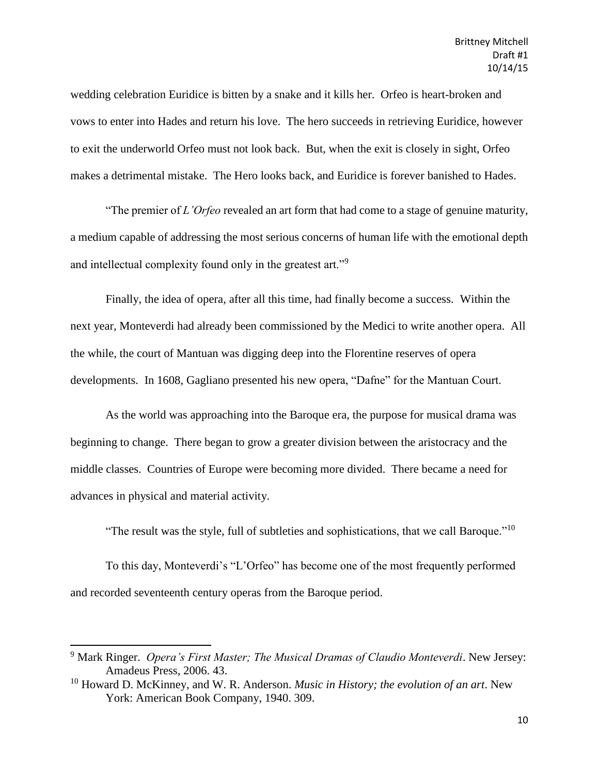wedding celebration Euridice is bitten by a snake and it kills her. Orfeo is heart-broken and vows to enter into Hades and return his love. The hero succeeds in retrieving Euridice, however to exit the underworld Orfeo must not look back. But, when the exit is closely in sight, Orfeo makes a detrimental mistake. The Hero looks back, and Euridice is forever banished to Hades.

"The premier of *L'Orfeo* revealed an art form that had come to a stage of genuine maturity, a medium capable of addressing the most serious concerns of human life with the emotional depth and intellectual complexity found only in the greatest art."<sup>9</sup>

Finally, the idea of opera, after all this time, had finally become a success. Within the next year, Monteverdi had already been commissioned by the Medici to write another opera. All the while, the court of Mantuan was digging deep into the Florentine reserves of opera developments. In 1608, Gagliano presented his new opera, "Dafne" for the Mantuan Court.

As the world was approaching into the Baroque era, the purpose for musical drama was beginning to change. There began to grow a greater division between the aristocracy and the middle classes. Countries of Europe were becoming more divided. There became a need for advances in physical and material activity.

"The result was the style, full of subtleties and sophistications, that we call Baroque."<sup>10</sup>

To this day, Monteverdi's "L'Orfeo" has become one of the most frequently performed and recorded seventeenth century operas from the Baroque period.

<sup>9</sup> Mark Ringer. *Opera's First Master; The Musical Dramas of Claudio Monteverdi*. New Jersey: Amadeus Press, 2006. 43.

<sup>10</sup> Howard D. McKinney, and W. R. Anderson. *Music in History; the evolution of an art*. New York: American Book Company, 1940. 309.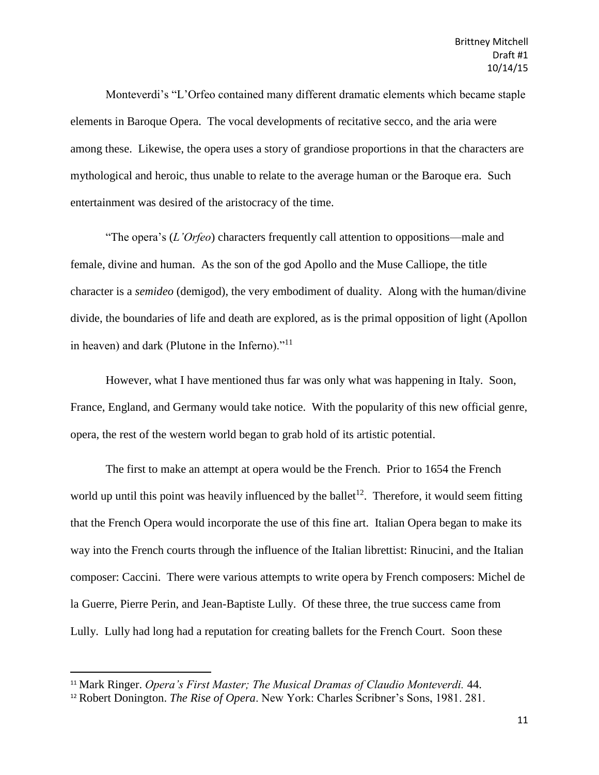Monteverdi's "L'Orfeo contained many different dramatic elements which became staple elements in Baroque Opera. The vocal developments of recitative secco, and the aria were among these. Likewise, the opera uses a story of grandiose proportions in that the characters are mythological and heroic, thus unable to relate to the average human or the Baroque era. Such entertainment was desired of the aristocracy of the time.

"The opera's (*L'Orfeo*) characters frequently call attention to oppositions—male and female, divine and human. As the son of the god Apollo and the Muse Calliope, the title character is a *semideo* (demigod), the very embodiment of duality. Along with the human/divine divide, the boundaries of life and death are explored, as is the primal opposition of light (Apollon in heaven) and dark (Plutone in the Inferno)."<sup>11</sup>

However, what I have mentioned thus far was only what was happening in Italy. Soon, France, England, and Germany would take notice. With the popularity of this new official genre, opera, the rest of the western world began to grab hold of its artistic potential.

The first to make an attempt at opera would be the French. Prior to 1654 the French world up until this point was heavily influenced by the ballet<sup>12</sup>. Therefore, it would seem fitting that the French Opera would incorporate the use of this fine art. Italian Opera began to make its way into the French courts through the influence of the Italian librettist: Rinucini, and the Italian composer: Caccini. There were various attempts to write opera by French composers: Michel de la Guerre, Pierre Perin, and Jean-Baptiste Lully. Of these three, the true success came from Lully. Lully had long had a reputation for creating ballets for the French Court. Soon these

l

<sup>11</sup> Mark Ringer. *Opera's First Master; The Musical Dramas of Claudio Monteverdi.* 44.

<sup>12</sup> Robert Donington. *The Rise of Opera*. New York: Charles Scribner's Sons, 1981. 281.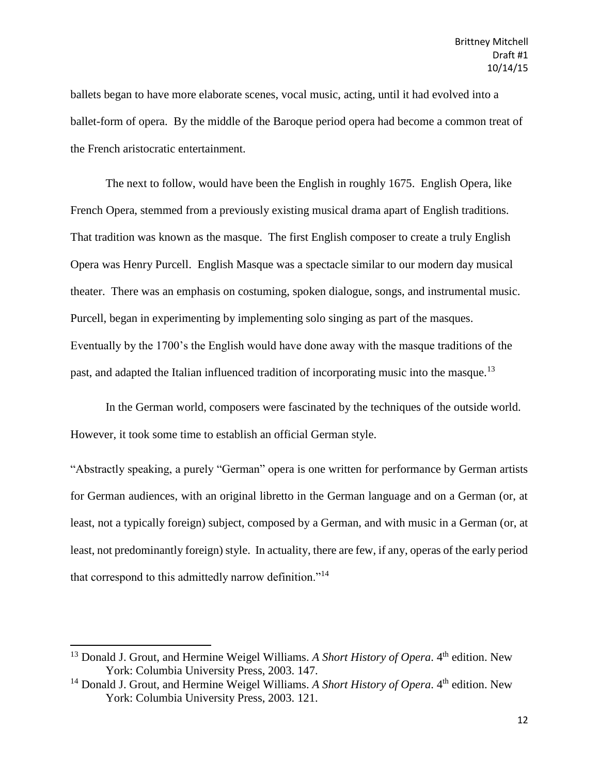ballets began to have more elaborate scenes, vocal music, acting, until it had evolved into a ballet-form of opera. By the middle of the Baroque period opera had become a common treat of the French aristocratic entertainment.

The next to follow, would have been the English in roughly 1675. English Opera, like French Opera, stemmed from a previously existing musical drama apart of English traditions. That tradition was known as the masque. The first English composer to create a truly English Opera was Henry Purcell. English Masque was a spectacle similar to our modern day musical theater. There was an emphasis on costuming, spoken dialogue, songs, and instrumental music. Purcell, began in experimenting by implementing solo singing as part of the masques. Eventually by the 1700's the English would have done away with the masque traditions of the past, and adapted the Italian influenced tradition of incorporating music into the masque.<sup>13</sup>

In the German world, composers were fascinated by the techniques of the outside world. However, it took some time to establish an official German style.

"Abstractly speaking, a purely "German" opera is one written for performance by German artists for German audiences, with an original libretto in the German language and on a German (or, at least, not a typically foreign) subject, composed by a German, and with music in a German (or, at least, not predominantly foreign) style. In actuality, there are few, if any, operas of the early period that correspond to this admittedly narrow definition."<sup>14</sup>

<sup>&</sup>lt;sup>13</sup> Donald J. Grout, and Hermine Weigel Williams. A Short History of Opera. 4<sup>th</sup> edition. New York: Columbia University Press, 2003. 147.

<sup>&</sup>lt;sup>14</sup> Donald J. Grout, and Hermine Weigel Williams. A Short History of Opera. 4<sup>th</sup> edition. New York: Columbia University Press, 2003. 121.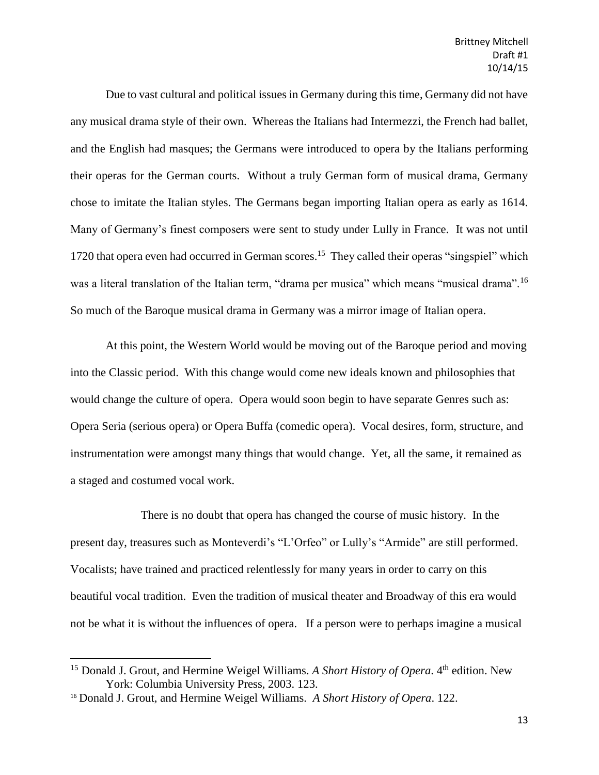Due to vast cultural and political issues in Germany during this time, Germany did not have any musical drama style of their own. Whereas the Italians had Intermezzi, the French had ballet, and the English had masques; the Germans were introduced to opera by the Italians performing their operas for the German courts. Without a truly German form of musical drama, Germany chose to imitate the Italian styles. The Germans began importing Italian opera as early as 1614. Many of Germany's finest composers were sent to study under Lully in France. It was not until 1720 that opera even had occurred in German scores.<sup>15</sup> They called their operas "singspiel" which was a literal translation of the Italian term, "drama per musica" which means "musical drama".<sup>16</sup> So much of the Baroque musical drama in Germany was a mirror image of Italian opera.

At this point, the Western World would be moving out of the Baroque period and moving into the Classic period. With this change would come new ideals known and philosophies that would change the culture of opera. Opera would soon begin to have separate Genres such as: Opera Seria (serious opera) or Opera Buffa (comedic opera). Vocal desires, form, structure, and instrumentation were amongst many things that would change. Yet, all the same, it remained as a staged and costumed vocal work.

There is no doubt that opera has changed the course of music history. In the present day, treasures such as Monteverdi's "L'Orfeo" or Lully's "Armide" are still performed. Vocalists; have trained and practiced relentlessly for many years in order to carry on this beautiful vocal tradition. Even the tradition of musical theater and Broadway of this era would not be what it is without the influences of opera. If a person were to perhaps imagine a musical

 $\overline{\phantom{a}}$ 

<sup>&</sup>lt;sup>15</sup> Donald J. Grout, and Hermine Weigel Williams. A Short History of Opera. 4<sup>th</sup> edition. New York: Columbia University Press, 2003. 123.

<sup>16</sup> Donald J. Grout, and Hermine Weigel Williams. *A Short History of Opera*. 122.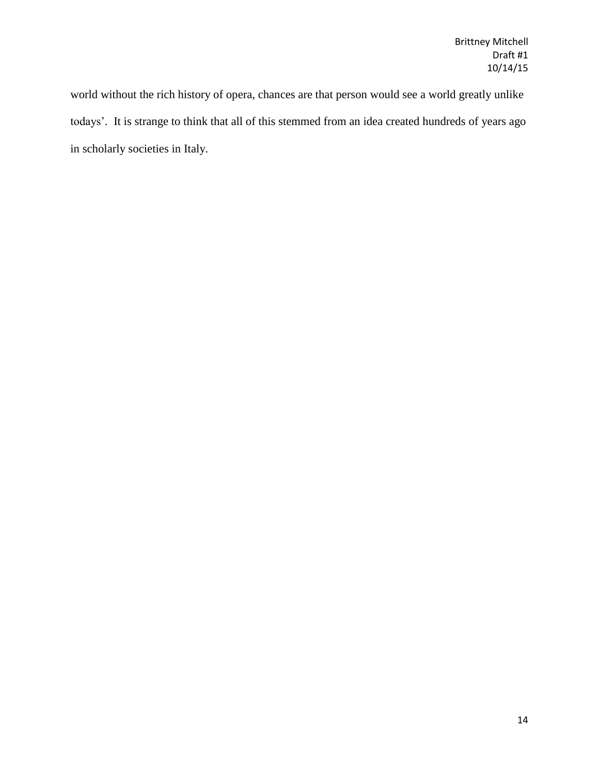world without the rich history of opera, chances are that person would see a world greatly unlike todays'. It is strange to think that all of this stemmed from an idea created hundreds of years ago in scholarly societies in Italy.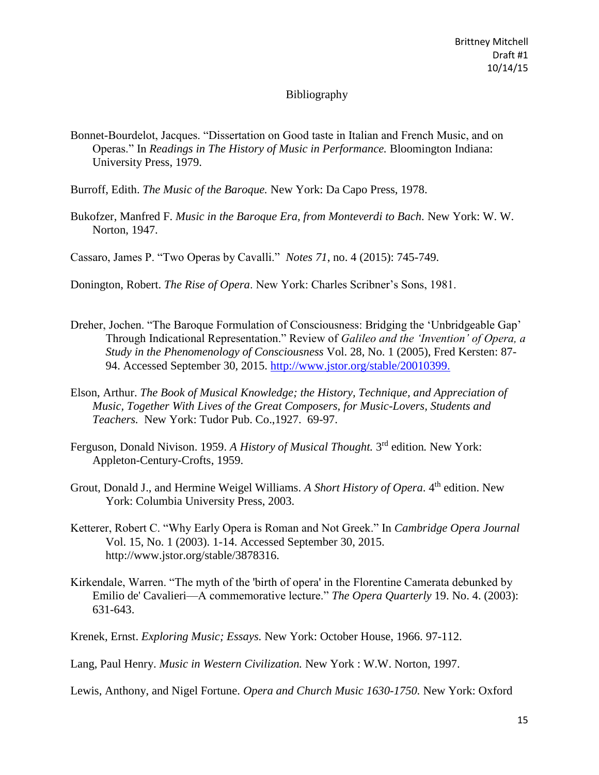## Bibliography

- Bonnet-Bourdelot, Jacques. "Dissertation on Good taste in Italian and French Music, and on Operas." In *Readings in The History of Music in Performance.* Bloomington Indiana: University Press, 1979.
- Burroff, Edith. *The Music of the Baroque.* New York: Da Capo Press, 1978.
- Bukofzer, Manfred F. *Music in the Baroque Era, from Monteverdi to Bach.* New York: W. W. Norton, 1947.

Cassaro, James P. "Two Operas by Cavalli." *Notes 71*, no. 4 (2015): 745-749.

Donington, Robert. *The Rise of Opera*. New York: Charles Scribner's Sons, 1981.

- Dreher, Jochen. "The Baroque Formulation of Consciousness: Bridging the 'Unbridgeable Gap' Through Indicational Representation." Review of *Galileo and the 'Invention' of Opera, a Study in the Phenomenology of Consciousness* Vol. 28, No. 1 (2005), Fred Kersten: 87- 94. Accessed September 30, 2015. [http://www.jstor.org/stable/20010399.](http://www.jstor.org/stable/20010399)
- Elson, Arthur. *The Book of Musical Knowledge; the History, Technique, and Appreciation of Music, Together With Lives of the Great Composers, for Music-Lovers, Students and Teachers.* New York: Tudor Pub. Co.,1927. 69-97.
- Ferguson, Donald Nivison. 1959. A History of Musical Thought. 3<sup>rd</sup> edition. New York: Appleton-Century-Crofts, 1959.
- Grout, Donald J., and Hermine Weigel Williams. A Short History of Opera. 4<sup>th</sup> edition. New York: Columbia University Press, 2003.
- Ketterer, Robert C. "Why Early Opera is Roman and Not Greek." In *Cambridge Opera Journal* Vol. 15, No. 1 (2003). 1-14. Accessed September 30, 2015. http://www.jstor.org/stable/3878316.
- Kirkendale, Warren. "The myth of the 'birth of opera' in the Florentine Camerata debunked by Emilio de' Cavalieri—A commemorative lecture." *The Opera Quarterly* 19. No. 4. (2003): 631-643.
- Krenek, Ernst. *Exploring Music; Essays.* New York: October House, 1966. 97-112.

Lang, Paul Henry. *Music in Western Civilization.* New York : W.W. Norton, 1997.

Lewis, Anthony, and Nigel Fortune. *Opera and Church Music 1630-1750.* New York: Oxford